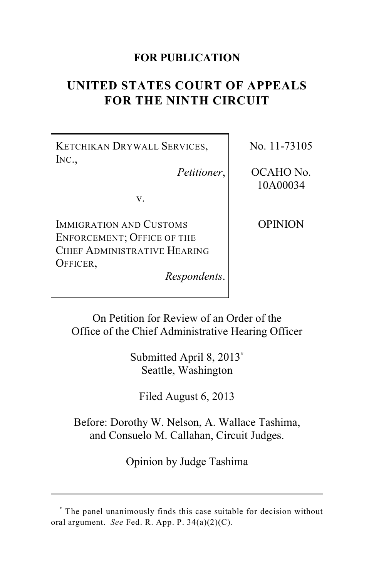## **FOR PUBLICATION**

# **UNITED STATES COURT OF APPEALS FOR THE NINTH CIRCUIT**

KETCHIKAN DRYWALL SERVICES, INC.,

*Petitioner*,

v.

IMMIGRATION AND CUSTOMS ENFORCEMENT; OFFICE OF THE CHIEF ADMINISTRATIVE HEARING OFFICER,

*Respondents*.

No. 11-73105

OCAHO No. 10A00034

OPINION

On Petition for Review of an Order of the Office of the Chief Administrative Hearing Officer

> Submitted April 8, 2013**\*** Seattle, Washington

Filed August 6, 2013

Before: Dorothy W. Nelson, A. Wallace Tashima, and Consuelo M. Callahan, Circuit Judges.

Opinion by Judge Tashima

The panel unanimously finds this case suitable for decision without **\*** oral argument. *See* Fed. R. App. P. 34(a)(2)(C).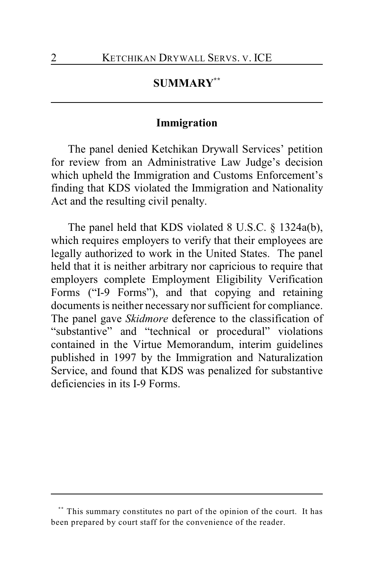## **SUMMARY \*\***

## **Immigration**

The panel denied Ketchikan Drywall Services' petition for review from an Administrative Law Judge's decision which upheld the Immigration and Customs Enforcement's finding that KDS violated the Immigration and Nationality Act and the resulting civil penalty.

The panel held that KDS violated 8 U.S.C. § 1324a(b), which requires employers to verify that their employees are legally authorized to work in the United States. The panel held that it is neither arbitrary nor capricious to require that employers complete Employment Eligibility Verification Forms ("I-9 Forms"), and that copying and retaining documents is neither necessary nor sufficient for compliance. The panel gave *Skidmore* deference to the classification of "substantive" and "technical or procedural" violations contained in the Virtue Memorandum, interim guidelines published in 1997 by the Immigration and Naturalization Service, and found that KDS was penalized for substantive deficiencies in its I-9 Forms.

This summary constitutes no part of the opinion of the court. It has **\*\*** been prepared by court staff for the convenience of the reader.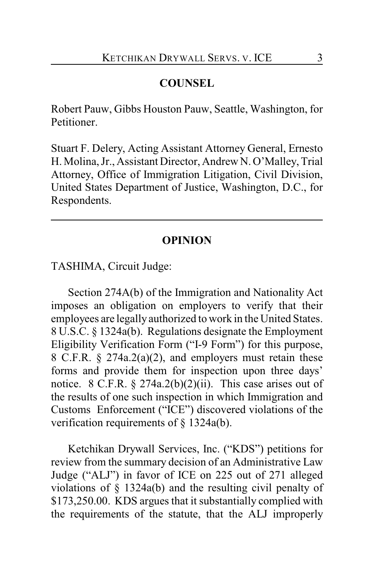## **COUNSEL**

Robert Pauw, Gibbs Houston Pauw, Seattle, Washington, for Petitioner.

Stuart F. Delery, Acting Assistant Attorney General, Ernesto H. Molina, Jr., Assistant Director, Andrew N. O'Malley, Trial Attorney, Office of Immigration Litigation, Civil Division, United States Department of Justice, Washington, D.C., for Respondents.

#### **OPINION**

TASHIMA, Circuit Judge:

Section 274A(b) of the Immigration and Nationality Act imposes an obligation on employers to verify that their employees are legally authorized to work in the United States. 8 U.S.C. § 1324a(b). Regulations designate the Employment Eligibility Verification Form ("I-9 Form") for this purpose, 8 C.F.R. § 274a.2(a)(2), and employers must retain these forms and provide them for inspection upon three days' notice. 8 C.F.R.  $\S 274a.2(b)(2)(ii)$ . This case arises out of the results of one such inspection in which Immigration and Customs Enforcement ("ICE") discovered violations of the verification requirements of § 1324a(b).

Ketchikan Drywall Services, Inc. ("KDS") petitions for review from the summary decision of an Administrative Law Judge ("ALJ") in favor of ICE on 225 out of 271 alleged violations of § 1324a(b) and the resulting civil penalty of \$173,250.00. KDS argues that it substantially complied with the requirements of the statute, that the ALJ improperly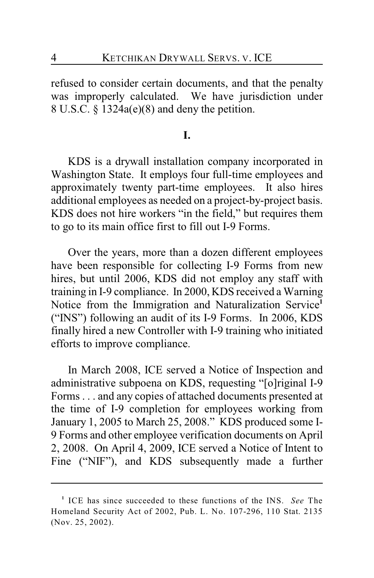refused to consider certain documents, and that the penalty was improperly calculated. We have jurisdiction under 8 U.S.C. § 1324a(e)(8) and deny the petition.

## **I.**

KDS is a drywall installation company incorporated in Washington State. It employs four full-time employees and approximately twenty part-time employees. It also hires additional employees as needed on a project-by-project basis. KDS does not hire workers "in the field," but requires them to go to its main office first to fill out I-9 Forms.

Over the years, more than a dozen different employees have been responsible for collecting I-9 Forms from new hires, but until 2006, KDS did not employ any staff with training in I-9 compliance. In 2000, KDS received a Warning Notice from the Immigration and Naturalization Service**<sup>1</sup>** ("INS") following an audit of its I-9 Forms. In 2006, KDS finally hired a new Controller with I-9 training who initiated efforts to improve compliance.

In March 2008, ICE served a Notice of Inspection and administrative subpoena on KDS, requesting "[o]riginal I-9 Forms . . . and any copies of attached documents presented at the time of I-9 completion for employees working from January 1, 2005 to March 25, 2008." KDS produced some I-9 Forms and other employee verification documents on April 2, 2008. On April 4, 2009, ICE served a Notice of Intent to Fine ("NIF"), and KDS subsequently made a further

<sup>&</sup>lt;sup>1</sup> ICE has since succeeded to these functions of the INS. See The Homeland Security Act of 2002, Pub. L. No. 107-296, 110 Stat. 2135 (Nov. 25, 2002).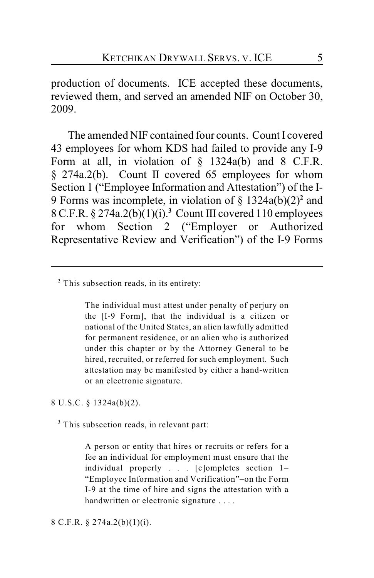production of documents. ICE accepted these documents, reviewed them, and served an amended NIF on October 30, 2009.

The amended NIF contained four counts. Count I covered 43 employees for whom KDS had failed to provide any I-9 Form at all, in violation of  $\S$  1324a(b) and 8 C.F.R. § 274a.2(b). Count II covered 65 employees for whom Section 1 ("Employee Information and Attestation") of the I-9 Forms was incomplete, in violation of  $\S$  1324a(b)(2)<sup>2</sup> and 8 C.F.R. § 274a.2(b)(1)(i). Count III covered 110 employees **<sup>3</sup>** for whom Section 2 ("Employer or Authorized Representative Review and Verification") of the I-9 Forms

The individual must attest under penalty of perjury on the [I-9 Form], that the individual is a citizen or national of the United States, an alien lawfully admitted for permanent residence, or an alien who is authorized under this chapter or by the Attorney General to be hired, recruited, or referred for such employment. Such attestation may be manifested by either a hand-written or an electronic signature.

8 U.S.C. § 1324a(b)(2).

<sup>3</sup> This subsection reads, in relevant part:

A person or entity that hires or recruits or refers for a fee an individual for employment must ensure that the individual properly . . . [c]ompletes section 1– "Employee Information and Verification"–on the Form I-9 at the time of hire and signs the attestation with a handwritten or electronic signature . . . .

#### 8 C.F.R. § 274a.2(b)(1)(i).

<sup>&</sup>lt;sup>2</sup> This subsection reads, in its entirety: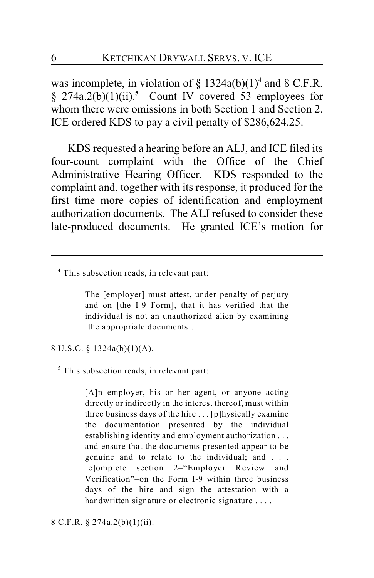was incomplete, in violation of  $\S$  1324a(b)(1)<sup>4</sup> and 8 C.F.R. §  $274a.2(b)(1)(ii)$ <sup>5</sup> Count IV covered 53 employees for whom there were omissions in both Section 1 and Section 2. ICE ordered KDS to pay a civil penalty of \$286,624.25.

KDS requested a hearing before an ALJ, and ICE filed its four-count complaint with the Office of the Chief Administrative Hearing Officer. KDS responded to the complaint and, together with its response, it produced for the first time more copies of identification and employment authorization documents. The ALJ refused to consider these late-produced documents. He granted ICE's motion for

The [employer] must attest, under penalty of perjury and on [the I-9 Form], that it has verified that the individual is not an unauthorized alien by examining [the appropriate documents].

8 U.S.C. § 1324a(b)(1)(A).

This subsection reads, in relevant part: **<sup>5</sup>**

[A]n employer, his or her agent, or anyone acting directly or indirectly in the interest thereof, must within three business days of the hire . . . [p]hysically examine the documentation presented by the individual establishing identity and employment authorization . . . and ensure that the documents presented appear to be genuine and to relate to the individual; and . . . [c]omplete section 2–"Employer Review and Verification"–on the Form I-9 within three business days of the hire and sign the attestation with a handwritten signature or electronic signature . . . .

8 C.F.R. § 274a.2(b)(1)(ii).

This subsection reads, in relevant part: **<sup>4</sup>**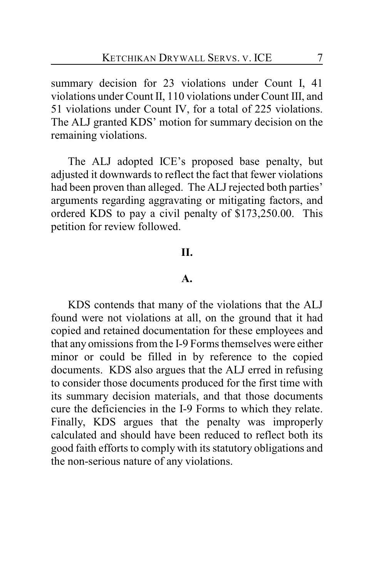summary decision for 23 violations under Count I, 41 violations under Count II, 110 violations under Count III, and 51 violations under Count IV, for a total of 225 violations. The ALJ granted KDS' motion for summary decision on the remaining violations.

The ALJ adopted ICE's proposed base penalty, but adjusted it downwards to reflect the fact that fewer violations had been proven than alleged. The ALJ rejected both parties' arguments regarding aggravating or mitigating factors, and ordered KDS to pay a civil penalty of \$173,250.00. This petition for review followed.

### **II.**

#### **A.**

KDS contends that many of the violations that the ALJ found were not violations at all, on the ground that it had copied and retained documentation for these employees and that any omissions from the I-9 Forms themselves were either minor or could be filled in by reference to the copied documents. KDS also argues that the ALJ erred in refusing to consider those documents produced for the first time with its summary decision materials, and that those documents cure the deficiencies in the I-9 Forms to which they relate. Finally, KDS argues that the penalty was improperly calculated and should have been reduced to reflect both its good faith efforts to comply with its statutory obligations and the non-serious nature of any violations.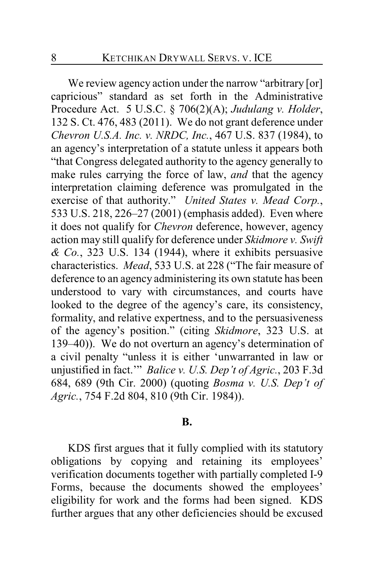We review agency action under the narrow "arbitrary [or] capricious" standard as set forth in the Administrative Procedure Act. 5 U.S.C. § 706(2)(A); *Judulang v. Holder*, 132 S. Ct. 476, 483 (2011). We do not grant deference under *Chevron U.S.A. Inc. v. NRDC, Inc.*, 467 U.S. 837 (1984), to an agency's interpretation of a statute unless it appears both "that Congress delegated authority to the agency generally to make rules carrying the force of law, *and* that the agency interpretation claiming deference was promulgated in the exercise of that authority." *United States v. Mead Corp.*, 533 U.S. 218, 226–27 (2001) (emphasis added). Even where it does not qualify for *Chevron* deference, however, agency action may still qualify for deference under *Skidmore v. Swift & Co.*, 323 U.S. 134 (1944), where it exhibits persuasive characteristics. *Mead*, 533 U.S. at 228 ("The fair measure of deference to an agency administering its own statute has been understood to vary with circumstances, and courts have looked to the degree of the agency's care, its consistency, formality, and relative expertness, and to the persuasiveness of the agency's position." (citing *Skidmore*, 323 U.S. at 139–40)). We do not overturn an agency's determination of a civil penalty "unless it is either 'unwarranted in law or unjustified in fact.'" *Balice v. U.S. Dep't of Agric.*, 203 F.3d 684, 689 (9th Cir. 2000) (quoting *Bosma v. U.S. Dep't of Agric.*, 754 F.2d 804, 810 (9th Cir. 1984)).

### **B.**

KDS first argues that it fully complied with its statutory obligations by copying and retaining its employees' verification documents together with partially completed I-9 Forms, because the documents showed the employees' eligibility for work and the forms had been signed. KDS further argues that any other deficiencies should be excused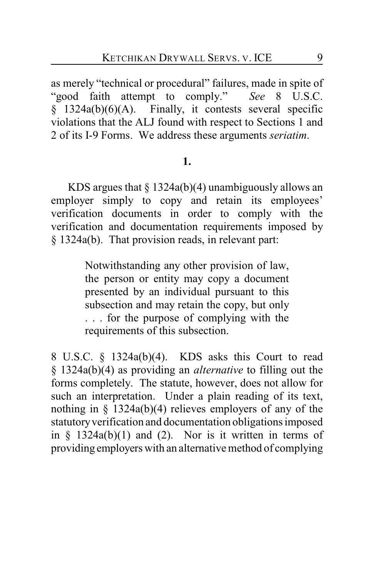as merely "technical or procedural" failures, made in spite of "good faith attempt to comply." *See* 8 U.S.C.  $\S$  1324a(b)(6)(A). Finally, it contests several specific violations that the ALJ found with respect to Sections 1 and 2 of its I-9 Forms. We address these arguments *seriatim*.

#### **1.**

KDS argues that  $\S 1324a(b)(4)$  unambiguously allows an employer simply to copy and retain its employees' verification documents in order to comply with the verification and documentation requirements imposed by § 1324a(b). That provision reads, in relevant part:

> Notwithstanding any other provision of law, the person or entity may copy a document presented by an individual pursuant to this subsection and may retain the copy, but only . . . for the purpose of complying with the requirements of this subsection.

8 U.S.C. § 1324a(b)(4). KDS asks this Court to read § 1324a(b)(4) as providing an *alternative* to filling out the forms completely. The statute, however, does not allow for such an interpretation. Under a plain reading of its text, nothing in § 1324a(b)(4) relieves employers of any of the statutory verification and documentation obligations imposed in  $\frac{1324a(b)}{1}$  and (2). Nor is it written in terms of providing employers with an alternative method of complying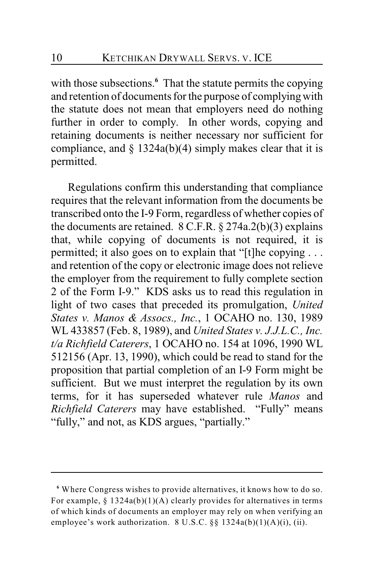with those subsections.<sup>6</sup> That the statute permits the copying and retention of documents for the purpose of complying with the statute does not mean that employers need do nothing further in order to comply. In other words, copying and retaining documents is neither necessary nor sufficient for compliance, and  $\S$  1324a(b)(4) simply makes clear that it is permitted.

Regulations confirm this understanding that compliance requires that the relevant information from the documents be transcribed onto the I-9 Form, regardless of whether copies of the documents are retained. 8 C.F.R. § 274a.2(b)(3) explains that, while copying of documents is not required, it is permitted; it also goes on to explain that "[t]he copying . . . and retention of the copy or electronic image does not relieve the employer from the requirement to fully complete section 2 of the Form I-9." KDS asks us to read this regulation in light of two cases that preceded its promulgation, *United States v. Manos & Assocs., Inc.*, 1 OCAHO no. 130, 1989 WL 433857 (Feb. 8, 1989), and *United States v. J.J.L.C., Inc. t/a Richfield Caterers*, 1 OCAHO no. 154 at 1096, 1990 WL 512156 (Apr. 13, 1990), which could be read to stand for the proposition that partial completion of an I-9 Form might be sufficient. But we must interpret the regulation by its own terms, for it has superseded whatever rule *Manos* and *Richfield Caterers* may have established. "Fully" means "fully," and not, as KDS argues, "partially."

Where Congress wishes to provide alternatives, it knows how to do so. **<sup>6</sup>** For example,  $§$  1324a(b)(1)(A) clearly provides for alternatives in terms of which kinds of documents an employer may rely on when verifying an employee's work authorization. 8 U.S.C. §§ 1324a(b)(1)(A)(i), (ii).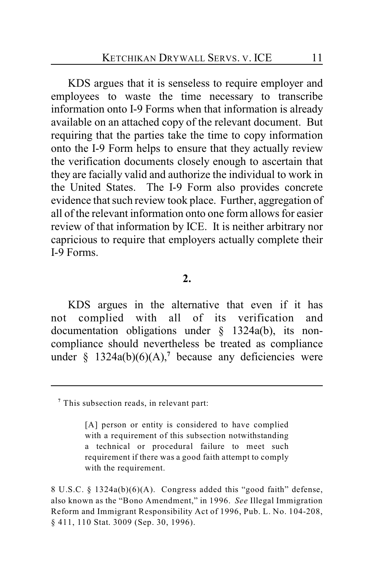KDS argues that it is senseless to require employer and employees to waste the time necessary to transcribe information onto I-9 Forms when that information is already available on an attached copy of the relevant document. But requiring that the parties take the time to copy information onto the I-9 Form helps to ensure that they actually review the verification documents closely enough to ascertain that they are facially valid and authorize the individual to work in the United States. The I-9 Form also provides concrete evidence that such review took place. Further, aggregation of all of the relevant information onto one form allows for easier review of that information by ICE. It is neither arbitrary nor capricious to require that employers actually complete their I-9 Forms.

#### **2.**

KDS argues in the alternative that even if it has not complied with all of its verification and documentation obligations under § 1324a(b), its noncompliance should nevertheless be treated as compliance under  $\S$  1324a(b)(6)(A),<sup>7</sup> because any deficiencies were

This subsection reads, in relevant part: **<sup>7</sup>**

<sup>[</sup>A] person or entity is considered to have complied with a requirement of this subsection notwithstanding a technical or procedural failure to meet such requirement if there was a good faith attempt to comply with the requirement.

<sup>8</sup> U.S.C. § 1324a(b)(6)(A). Congress added this "good faith" defense, also known as the "Bono Amendment," in 1996. *See* Illegal Immigration Reform and Immigrant Responsibility Act of 1996, Pub. L. No. 104-208, § 411, 110 Stat. 3009 (Sep. 30, 1996).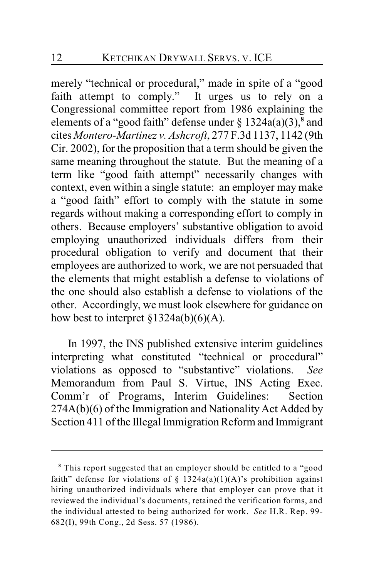merely "technical or procedural," made in spite of a "good faith attempt to comply." It urges us to rely on a Congressional committee report from 1986 explaining the elements of a "good faith" defense under  $\S$  1324a(a)(3),  $\frac{8}{3}$  and cites *Montero-Martinez v. Ashcroft*, 277 F.3d 1137, 1142 (9th Cir. 2002), for the proposition that a term should be given the same meaning throughout the statute. But the meaning of a term like "good faith attempt" necessarily changes with context, even within a single statute: an employer may make a "good faith" effort to comply with the statute in some regards without making a corresponding effort to comply in others. Because employers' substantive obligation to avoid employing unauthorized individuals differs from their procedural obligation to verify and document that their employees are authorized to work, we are not persuaded that the elements that might establish a defense to violations of the one should also establish a defense to violations of the other. Accordingly, we must look elsewhere for guidance on how best to interpret  $\S 1324a(b)(6)(A)$ .

In 1997, the INS published extensive interim guidelines interpreting what constituted "technical or procedural" violations as opposed to "substantive" violations. *See* Memorandum from Paul S. Virtue, INS Acting Exec. Comm'r of Programs, Interim Guidelines: Section 274A(b)(6) of the Immigration and Nationality Act Added by Section 411 of the Illegal Immigration Reform and Immigrant

This report suggested that an employer should be entitled to a "good **<sup>8</sup>** faith" defense for violations of § 1324a(a)(1)(A)'s prohibition against hiring unauthorized individuals where that employer can prove that it reviewed the individual's documents, retained the verification forms, and the individual attested to being authorized for work. *See* H.R. Rep. 99- 682(I), 99th Cong., 2d Sess. 57 (1986).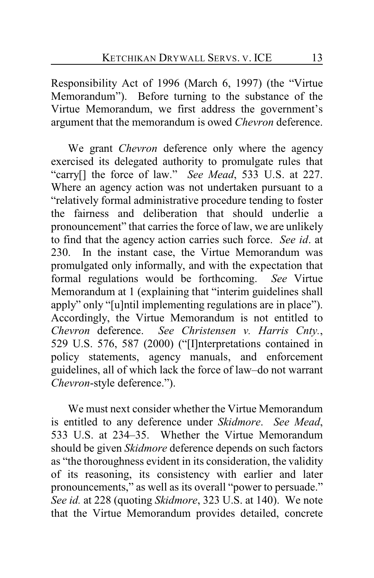Responsibility Act of 1996 (March 6, 1997) (the "Virtue Memorandum"). Before turning to the substance of the Virtue Memorandum, we first address the government's argument that the memorandum is owed *Chevron* deference.

We grant *Chevron* deference only where the agency exercised its delegated authority to promulgate rules that "carry[] the force of law." *See Mead*, 533 U.S. at 227. Where an agency action was not undertaken pursuant to a "relatively formal administrative procedure tending to foster the fairness and deliberation that should underlie a pronouncement" that carries the force of law, we are unlikely to find that the agency action carries such force. *See id*. at 230. In the instant case, the Virtue Memorandum was promulgated only informally, and with the expectation that formal regulations would be forthcoming. *See* Virtue Memorandum at 1 (explaining that "interim guidelines shall apply" only "[u]ntil implementing regulations are in place"). Accordingly, the Virtue Memorandum is not entitled to *Chevron* deference. *See Christensen v. Harris Cnty.*, 529 U.S. 576, 587 (2000) ("[I]nterpretations contained in policy statements, agency manuals, and enforcement guidelines, all of which lack the force of law–do not warrant *Chevron*-style deference.").

We must next consider whether the Virtue Memorandum is entitled to any deference under *Skidmore*. *See Mead*, 533 U.S. at 234–35. Whether the Virtue Memorandum should be given *Skidmore* deference depends on such factors as "the thoroughness evident in its consideration, the validity of its reasoning, its consistency with earlier and later pronouncements," as well as its overall "power to persuade." *See id.* at 228 (quoting *Skidmore*, 323 U.S. at 140). We note that the Virtue Memorandum provides detailed, concrete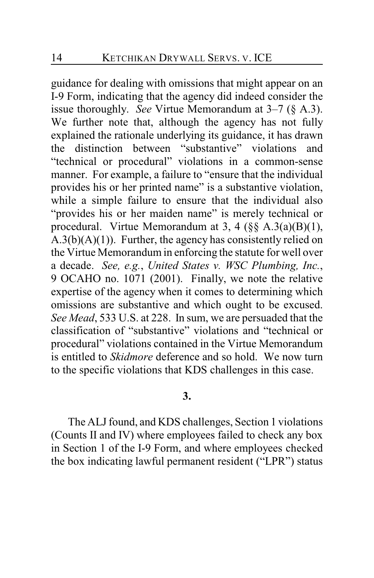guidance for dealing with omissions that might appear on an I-9 Form, indicating that the agency did indeed consider the issue thoroughly. *See* Virtue Memorandum at 3–7 (§ A.3). We further note that, although the agency has not fully explained the rationale underlying its guidance, it has drawn the distinction between "substantive" violations and "technical or procedural" violations in a common-sense manner. For example, a failure to "ensure that the individual provides his or her printed name" is a substantive violation, while a simple failure to ensure that the individual also "provides his or her maiden name" is merely technical or procedural. Virtue Memorandum at 3, 4 (§§ A.3(a)(B)(1),  $A.3(b)(A)(1)$ . Further, the agency has consistently relied on the Virtue Memorandum in enforcing the statute for well over a decade. *See, e.g.*, *United States v. WSC Plumbing, Inc.*, 9 OCAHO no. 1071 (2001). Finally, we note the relative expertise of the agency when it comes to determining which omissions are substantive and which ought to be excused. *See Mead*, 533 U.S. at 228. In sum, we are persuaded that the classification of "substantive" violations and "technical or procedural" violations contained in the Virtue Memorandum is entitled to *Skidmore* deference and so hold. We now turn to the specific violations that KDS challenges in this case.

## **3.**

The ALJ found, and KDS challenges, Section 1 violations (Counts II and IV) where employees failed to check any box in Section 1 of the I-9 Form, and where employees checked the box indicating lawful permanent resident ("LPR") status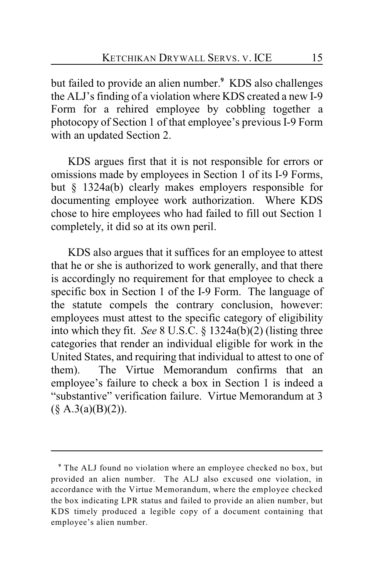but failed to provide an alien number.<sup>9</sup> KDS also challenges the ALJ's finding of a violation where KDS created a new I-9 Form for a rehired employee by cobbling together a photocopy of Section 1 of that employee's previous I-9 Form with an updated Section 2.

KDS argues first that it is not responsible for errors or omissions made by employees in Section 1 of its I-9 Forms, but § 1324a(b) clearly makes employers responsible for documenting employee work authorization. Where KDS chose to hire employees who had failed to fill out Section 1 completely, it did so at its own peril.

KDS also argues that it suffices for an employee to attest that he or she is authorized to work generally, and that there is accordingly no requirement for that employee to check a specific box in Section 1 of the I-9 Form. The language of the statute compels the contrary conclusion, however: employees must attest to the specific category of eligibility into which they fit. *See* 8 U.S.C. § 1324a(b)(2) (listing three categories that render an individual eligible for work in the United States, and requiring that individual to attest to one of them). The Virtue Memorandum confirms that an employee's failure to check a box in Section 1 is indeed a "substantive" verification failure. Virtue Memorandum at 3  $(\S$  A.3(a)(B)(2)).

The ALJ found no violation where an employee checked no box, but **<sup>9</sup>** provided an alien number. The ALJ also excused one violation, in accordance with the Virtue Memorandum, where the employee checked the box indicating LPR status and failed to provide an alien number, but KDS timely produced a legible copy of a document containing that employee's alien number.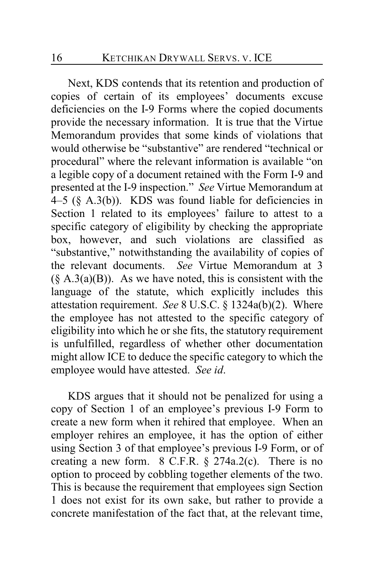Next, KDS contends that its retention and production of copies of certain of its employees' documents excuse deficiencies on the I-9 Forms where the copied documents provide the necessary information. It is true that the Virtue Memorandum provides that some kinds of violations that would otherwise be "substantive" are rendered "technical or procedural" where the relevant information is available "on a legible copy of a document retained with the Form I-9 and presented at the I-9 inspection." *See* Virtue Memorandum at 4–5 ( $\S$  A.3(b)). KDS was found liable for deficiencies in Section 1 related to its employees' failure to attest to a specific category of eligibility by checking the appropriate box, however, and such violations are classified as "substantive," notwithstanding the availability of copies of the relevant documents. *See* Virtue Memorandum at 3  $(\S A.3(a)(B))$ . As we have noted, this is consistent with the language of the statute, which explicitly includes this attestation requirement. *See* 8 U.S.C. § 1324a(b)(2). Where the employee has not attested to the specific category of eligibility into which he or she fits, the statutory requirement is unfulfilled, regardless of whether other documentation might allow ICE to deduce the specific category to which the employee would have attested. *See id*.

KDS argues that it should not be penalized for using a copy of Section 1 of an employee's previous I-9 Form to create a new form when it rehired that employee. When an employer rehires an employee, it has the option of either using Section 3 of that employee's previous I-9 Form, or of creating a new form.  $8 \text{ C.F.R.} \$   $274a.2(c)$ . There is no option to proceed by cobbling together elements of the two. This is because the requirement that employees sign Section 1 does not exist for its own sake, but rather to provide a concrete manifestation of the fact that, at the relevant time,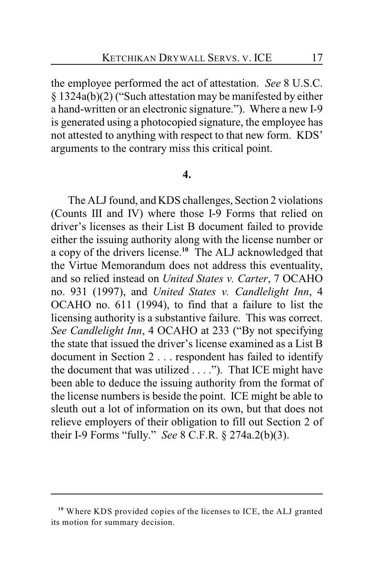the employee performed the act of attestation. *See* 8 U.S.C. § 1324a(b)(2) ("Such attestation may be manifested by either a hand-written or an electronic signature."). Where a new I-9 is generated using a photocopied signature, the employee has not attested to anything with respect to that new form. KDS' arguments to the contrary miss this critical point.

#### **4.**

The ALJ found, and KDS challenges, Section 2 violations (Counts III and IV) where those I-9 Forms that relied on driver's licenses as their List B document failed to provide either the issuing authority along with the license number or a copy of the drivers license.<sup>10</sup> The ALJ acknowledged that the Virtue Memorandum does not address this eventuality, and so relied instead on *United States v. Carter*, 7 OCAHO no. 931 (1997), and *United States v. Candlelight Inn*, 4 OCAHO no. 611 (1994), to find that a failure to list the licensing authority is a substantive failure. This was correct. *See Candlelight Inn*, 4 OCAHO at 233 ("By not specifying the state that issued the driver's license examined as a List B document in Section 2 . . . respondent has failed to identify the document that was utilized . . . ."). That ICE might have been able to deduce the issuing authority from the format of the license numbers is beside the point. ICE might be able to sleuth out a lot of information on its own, but that does not relieve employers of their obligation to fill out Section 2 of their I-9 Forms "fully." *See* 8 C.F.R. § 274a.2(b)(3).

<sup>&</sup>lt;sup>10</sup> Where KDS provided copies of the licenses to ICE, the ALJ granted its motion for summary decision.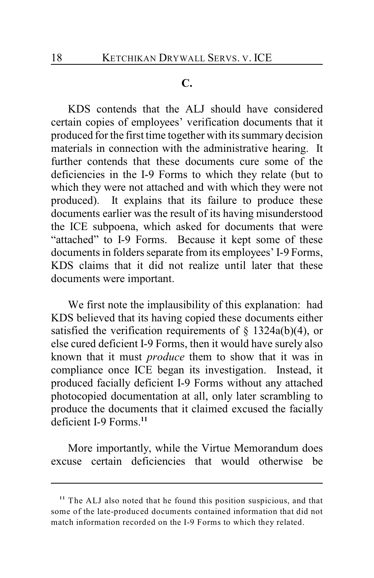### **C.**

KDS contends that the ALJ should have considered certain copies of employees' verification documents that it produced for the first time together with its summary decision materials in connection with the administrative hearing. It further contends that these documents cure some of the deficiencies in the I-9 Forms to which they relate (but to which they were not attached and with which they were not produced). It explains that its failure to produce these documents earlier was the result of its having misunderstood the ICE subpoena, which asked for documents that were "attached" to I-9 Forms. Because it kept some of these documents in folders separate from its employees' I-9 Forms, KDS claims that it did not realize until later that these documents were important.

We first note the implausibility of this explanation: had KDS believed that its having copied these documents either satisfied the verification requirements of  $\S$  1324a(b)(4), or else cured deficient I-9 Forms, then it would have surely also known that it must *produce* them to show that it was in compliance once ICE began its investigation. Instead, it produced facially deficient I-9 Forms without any attached photocopied documentation at all, only later scrambling to produce the documents that it claimed excused the facially deficient I-9 Forms.**<sup>11</sup>**

More importantly, while the Virtue Memorandum does excuse certain deficiencies that would otherwise be

<sup>&</sup>lt;sup>11</sup> The ALJ also noted that he found this position suspicious, and that some of the late-produced documents contained information that did not match information recorded on the I-9 Forms to which they related.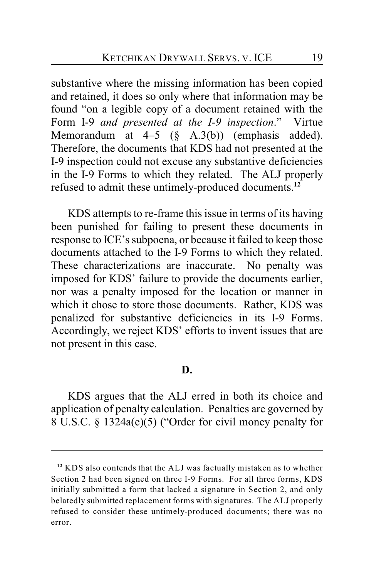substantive where the missing information has been copied and retained, it does so only where that information may be found "on a legible copy of a document retained with the Form I-9 *and presented at the I-9 inspection*." Virtue Memorandum at  $4-5$  (§ A.3(b)) (emphasis added). Therefore, the documents that KDS had not presented at the I-9 inspection could not excuse any substantive deficiencies in the I-9 Forms to which they related. The ALJ properly refused to admit these untimely-produced documents. **12**

KDS attempts to re-frame this issue in terms of its having been punished for failing to present these documents in response to ICE's subpoena, or because it failed to keep those documents attached to the I-9 Forms to which they related. These characterizations are inaccurate. No penalty was imposed for KDS' failure to provide the documents earlier, nor was a penalty imposed for the location or manner in which it chose to store those documents. Rather, KDS was penalized for substantive deficiencies in its I-9 Forms. Accordingly, we reject KDS' efforts to invent issues that are not present in this case.

#### **D.**

KDS argues that the ALJ erred in both its choice and application of penalty calculation. Penalties are governed by 8 U.S.C. § 1324a(e)(5) ("Order for civil money penalty for

<sup>&</sup>lt;sup>12</sup> KDS also contends that the ALJ was factually mistaken as to whether Section 2 had been signed on three I-9 Forms. For all three forms, KDS initially submitted a form that lacked a signature in Section 2, and only belatedly submitted replacement forms with signatures. The ALJ properly refused to consider these untimely-produced documents; there was no error.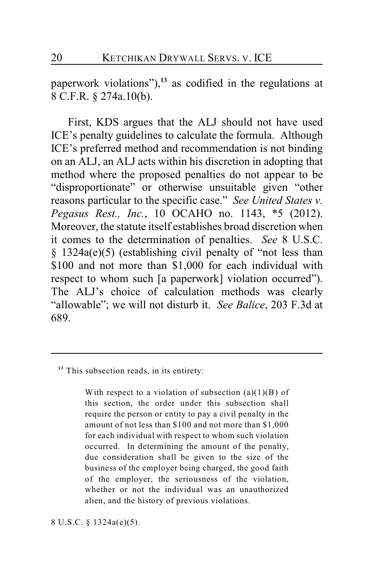paperwork violations"), $13$  as codified in the regulations at 8 C.F.R. § 274a.10(b).

First, KDS argues that the ALJ should not have used ICE's penalty guidelines to calculate the formula. Although ICE's preferred method and recommendation is not binding on an ALJ, an ALJ acts within his discretion in adopting that method where the proposed penalties do not appear to be "disproportionate" or otherwise unsuitable given "other reasons particular to the specific case." *See United States v. Pegasus Rest., Inc.*, 10 OCAHO no. 1143, \*5 (2012). Moreover, the statute itself establishes broad discretion when it comes to the determination of penalties. *See* 8 U.S.C. § 1324a(e)(5) (establishing civil penalty of "not less than \$100 and not more than \$1,000 for each individual with respect to whom such [a paperwork] violation occurred"). The ALJ's choice of calculation methods was clearly "allowable"; we will not disturb it. *See Balice*, 203 F.3d at 689.

With respect to a violation of subsection  $(a)(1)(B)$  of this section, the order under this subsection shall require the person or entity to pay a civil penalty in the amount of not less than \$100 and not more than \$1,000 for each individual with respect to whom such violation occurred. In determining the amount of the penalty, due consideration shall be given to the size of the business of the employer being charged, the good faith of the employer, the seriousness of the violation, whether or not the individual was an unauthorized alien, and the history of previous violations.

8 U.S.C. § 1324a(e)(5).

<sup>&</sup>lt;sup>13</sup> This subsection reads, in its entirety: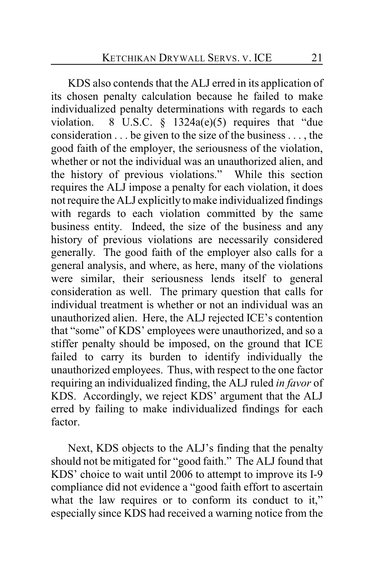KDS also contends that the ALJ erred in its application of its chosen penalty calculation because he failed to make individualized penalty determinations with regards to each violation. 8 U.S.C.  $\frac{1324a(e)}{5}$  requires that "due consideration . . . be given to the size of the business . . . , the good faith of the employer, the seriousness of the violation, whether or not the individual was an unauthorized alien, and the history of previous violations." While this section requires the ALJ impose a penalty for each violation, it does not require the ALJ explicitly to make individualized findings with regards to each violation committed by the same business entity. Indeed, the size of the business and any history of previous violations are necessarily considered generally. The good faith of the employer also calls for a general analysis, and where, as here, many of the violations were similar, their seriousness lends itself to general consideration as well. The primary question that calls for individual treatment is whether or not an individual was an unauthorized alien. Here, the ALJ rejected ICE's contention that "some" of KDS' employees were unauthorized, and so a stiffer penalty should be imposed, on the ground that ICE failed to carry its burden to identify individually the unauthorized employees. Thus, with respect to the one factor requiring an individualized finding, the ALJ ruled *in favor* of KDS. Accordingly, we reject KDS' argument that the ALJ erred by failing to make individualized findings for each factor.

Next, KDS objects to the ALJ's finding that the penalty should not be mitigated for "good faith." The ALJ found that KDS' choice to wait until 2006 to attempt to improve its I-9 compliance did not evidence a "good faith effort to ascertain what the law requires or to conform its conduct to it," especially since KDS had received a warning notice from the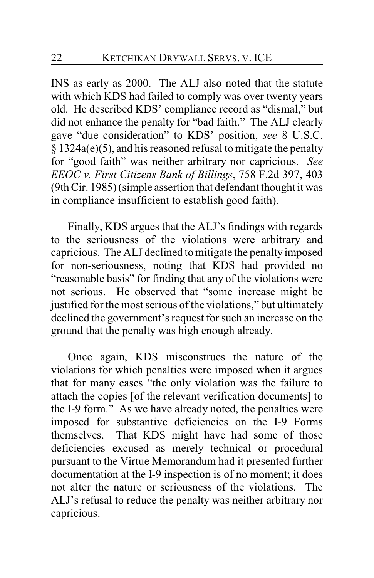INS as early as 2000. The ALJ also noted that the statute with which KDS had failed to comply was over twenty years old. He described KDS' compliance record as "dismal," but did not enhance the penalty for "bad faith." The ALJ clearly gave "due consideration" to KDS' position, *see* 8 U.S.C. § 1324a(e)(5), and his reasoned refusal to mitigate the penalty for "good faith" was neither arbitrary nor capricious. *See EEOC v. First Citizens Bank of Billings*, 758 F.2d 397, 403 (9th Cir. 1985) (simple assertion that defendant thought it was in compliance insufficient to establish good faith).

Finally, KDS argues that the ALJ's findings with regards to the seriousness of the violations were arbitrary and capricious. The ALJ declined to mitigate the penalty imposed for non-seriousness, noting that KDS had provided no "reasonable basis" for finding that any of the violations were not serious. He observed that "some increase might be justified for the most serious of the violations," but ultimately declined the government's request for such an increase on the ground that the penalty was high enough already.

Once again, KDS misconstrues the nature of the violations for which penalties were imposed when it argues that for many cases "the only violation was the failure to attach the copies [of the relevant verification documents] to the I-9 form." As we have already noted, the penalties were imposed for substantive deficiencies on the I-9 Forms themselves. That KDS might have had some of those deficiencies excused as merely technical or procedural pursuant to the Virtue Memorandum had it presented further documentation at the I-9 inspection is of no moment; it does not alter the nature or seriousness of the violations. The ALJ's refusal to reduce the penalty was neither arbitrary nor capricious.